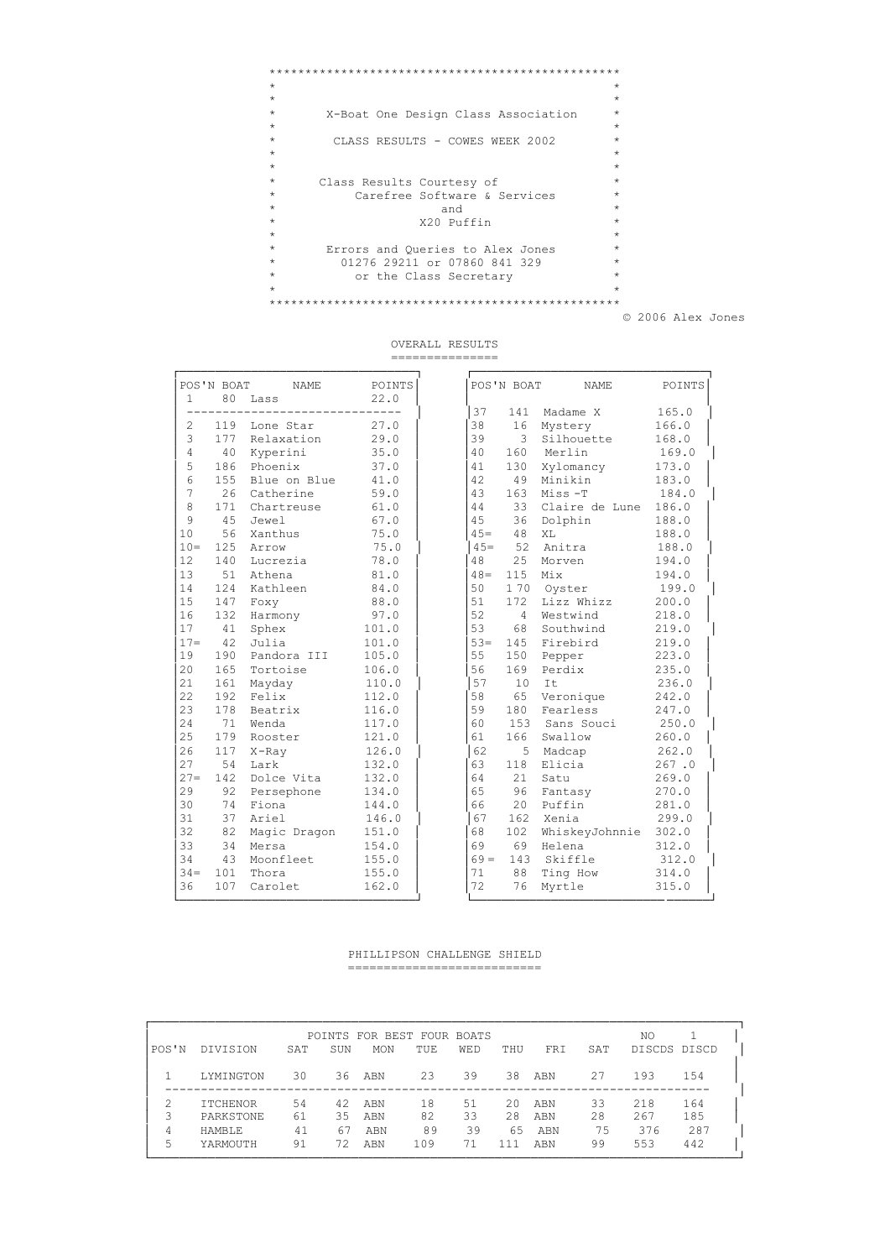| $\star$                                        | $\star$ |
|------------------------------------------------|---------|
| $\star$                                        | $\star$ |
| $\star$<br>X-Boat One Design Class Association | $\star$ |
| $\star$                                        | $\star$ |
| $\star$<br>CLASS RESULTS - COWES WEEK 2002     | $\star$ |
| $\star$                                        | $\star$ |
| $\star$                                        | $\star$ |
| $\star$<br>Class Results Courtesy of           | $\star$ |
| Carefree Software & Services<br>$\star$        | $\star$ |
| $\star$<br>and                                 | $\star$ |
| $\star$<br>X20 Puffin                          | $\star$ |
| $\star$                                        | $\star$ |
| $\star$<br>Errors and Oueries to Alex Jones    | $\star$ |
| $\star$<br>01276 29211 or 07860 841 329        | $\star$ |
| $\star$<br>or the Class Secretary              | $\star$ |
| $\star$                                        | $\star$ |
|                                                |         |

© 2006 Alex Jones

OVERALL RESULTS

===============

|                 | POS'N BOAT | <b>NAME</b>  | POINTS |
|-----------------|------------|--------------|--------|
| $\mathbf{1}$    | 80         | Lass         | 22.0   |
|                 |            |              |        |
| $\overline{2}$  | 119        | Lone Star    | 27.0   |
| 3               | 177        | Relaxation   | 29.0   |
| $\overline{4}$  | 40         | Kyperini     | 35.0   |
| 5               | 186        | Phoenix      | 37.0   |
| $6\overline{6}$ | 155        | Blue on Blue | 41.0   |
| 7               | 26         | Catherine    | 59.0   |
| 8               | 171        | Chartreuse   | 61.0   |
| 9               | 45         | Jewel        | 67.0   |
| 10              | 56         | Xanthus      | 75.0   |
| $10 =$          | 125        | Arrow        | 75.0   |
| 12              | 140        | Lucrezia     | 78.0   |
| 13              | 51         | Athena       | 81.0   |
| 14              | 124        | Kathleen     | 84.0   |
| 15              | 147        | Foxy         | 88.0   |
| 16              | 132        | Harmony      | 97.0   |
| 17              | 41         | Sphex        | 101.0  |
| $17 =$          | 42         | Julia        | 101.0  |
| 19              | 190        | Pandora III  | 105.0  |
| 20              | 165        | Tortoise     | 106.0  |
| 21              | 161        | Mayday       | 110.0  |
| 22              | 192        | Felix        | 112.0  |
| 23              | 178        | Beatrix      | 116.0  |
| 24              | 71         | Wenda        | 117.0  |
| 25              | 179        | Rooster      | 121.0  |
| 2.6             | 117        | $X$ -Ray     | 126.0  |
| 27              | 54         | Lark         | 132.0  |
| $27 =$          | 142        | Dolce Vita   | 132.0  |
| 29              | 92         | Persephone   | 134.0  |
| 30              | 74         | Fiona        | 144.0  |
| 31              | 37         | Ariel        | 146.0  |
| 32              | 82         | Magic Dragon | 151.0  |
| 33              | 34         | Mersa        | 154.0  |
| 34              | 43         | Moonfleet    | 155.0  |
| $34 =$          | 101        | Thora        | 155.0  |
| 36              | 107        | Carolet      | 162.0  |
|                 |            |              |        |

|                       | POS'N BOAT | NAME         | POINTS |        | POS'N BOAT     | NAME           | POINTS |
|-----------------------|------------|--------------|--------|--------|----------------|----------------|--------|
| $\mathbf{1}$          | 80         | Lass         | 22.0   | 37     | 141            | Madame X       | 165.0  |
| $\mathbf{2}^{\prime}$ | 119        | Lone Star    | 27.0   | 38     | 16             | Mystery        | 166.0  |
| 3                     | 177        | Relaxation   | 29.0   | 39     | 3              | Silhouette     | 168.0  |
| $\overline{4}$        | 40         | Kyperini     | 35.0   | 40     | 160            | Merlin         | 169.0  |
| 5                     | 186        | Phoenix      | 37.0   | 41     | 130            | Xylomancy      | 173.0  |
| $6\phantom{.}6$       | 155        | Blue on Blue | 41.0   | 42     | 49             | Minikin        | 183.0  |
| 7                     | 26         | Catherine    | 59.0   | 43     | 163            | $Miss-T$       | 184.0  |
| 8                     | 171        | Chartreuse   | 61.0   | 44     | 33             | Claire de Lune | 186.0  |
| 9                     | 45         | Jewel        | 67.0   | 4.5    | 36             | Dolphin        | 188.0  |
| 10                    | 56         | Xanthus      | 75.0   | $45 =$ | 48             | XL             | 188.0  |
| $10 -$                | 125        | Arrow        | 75.0   | $45 =$ | 52             | Anitra         | 188.0  |
| 12                    | 140        | Lucrezia     | 78.0   | 48     | 25             | Morven         | 194.0  |
| 13                    | 51         | Athena       | 81.0   | $48 =$ | 115            | Mix            | 194.0  |
| 14                    | 124        | Kathleen     | 84.0   | 50     | 170            | Oyster         | 199.0  |
| 15                    | 147        | Foxy         | 88.0   | 51     | 172            | Lizz Whizz     | 200.0  |
| 16                    | 132        | Harmony      | 97.0   | 52     | $\overline{4}$ | Westwind       | 218.0  |
| 17                    | 41         | Sphex        | 101.0  | 53     | 68             | Southwind      | 219.0  |
| $17 =$                | 42         | Julia        | 101.0  | $53 =$ | 145            | Firebird       | 219.0  |
| 19                    | 190        | Pandora III  | 105.0  | 55     | 150            | Pepper         | 223.0  |
| 20                    | 165        | Tortoise     | 106.0  | 56     | 169            | Perdix         | 235.0  |
| 21                    | 161        | Mayday       | 110.0  | 57     | 10             | It             | 236.0  |
| 22                    | 192        | Felix        | 112.0  | 58     | 65             | Veronique      | 242.0  |
| 23                    | 178        | Beatrix      | 116.0  | 59     | 180            | Fearless       | 247.0  |
| 24                    | 71         | Wenda        | 117.0  | 60     |                | 153 Sans Souci | 250.0  |
| 25                    | 179        | Rooster      | 121.0  | 61     | 166            | Swallow        | 260.0  |
| 26                    | 117        | $X$ -Ray     | 126.0  | 62     | 5              | Madcap         | 262.0  |
| 27                    | 54         | Lark         | 132.0  | 63     | 118            | Elicia         | 267.0  |
| $27 =$                | 142        | Dolce Vita   | 132.0  | 64     | 21             | Satu           | 269.0  |
| 29                    | 92         | Persephone   | 134.0  | 65     | 96             | Fantasy        | 270.0  |
| 30                    | 74         | Fiona        | 144.0  | 66     | 20             | Puffin         | 281.0  |
| 31                    | 37         | Ariel        | 146.0  | 67     | 162            | Xenia          | 299.0  |
| 32                    | 82         | Magic Dragon | 151.0  | 68     | 102            | WhiskeyJohnnie | 302.0  |
| 33                    | 34         | Mersa        | 154.0  | 69     | 69             | Helena         | 312.0  |
| 34                    | 43         | Moonfleet    | 155.0  | $69 =$ |                | 143 Skiffle    | 312.0  |
| $34 =$                | 101        | Thora        | 155.0  | 71     | 88             | Ting How       | 314.0  |
| 36                    | 107        | Carolet      | 162.0  | 72     | 76             | Myrtle         | 315.0  |

#### PHILLIPSON CHALLENGE SHIELD ===========================

| POS'N            | <b>DIVISION</b>                                           | SAT                  | SUN                  | POINTS FOR BEST FOUR BOATS<br><b>MON</b> | TUE.                  | <b>WED</b>           | THU                   | <b>FRT</b>               | SAT                  | NO<br>DISCDS DISCD       |                          |
|------------------|-----------------------------------------------------------|----------------------|----------------------|------------------------------------------|-----------------------|----------------------|-----------------------|--------------------------|----------------------|--------------------------|--------------------------|
|                  | LYMINGTON                                                 | 30                   | 36                   | ABN                                      | 23                    | 39                   | 38                    | ABN                      | 27                   | 193                      | 154                      |
| 2<br>3<br>4<br>5 | <b>ITCHENOR</b><br>PARKSTONE<br><b>HAMBLE</b><br>YARMOUTH | 54<br>61<br>41<br>91 | 42<br>35<br>67<br>72 | ABN<br>ABN<br>ABN<br>ABN                 | 18<br>82<br>89<br>109 | 51<br>33<br>39<br>71 | 20<br>2.8<br>65<br>11 | ABN<br>ABN<br>ABN<br>ABN | 33<br>28<br>75<br>99 | 218<br>267<br>376<br>553 | 164<br>185<br>287<br>442 |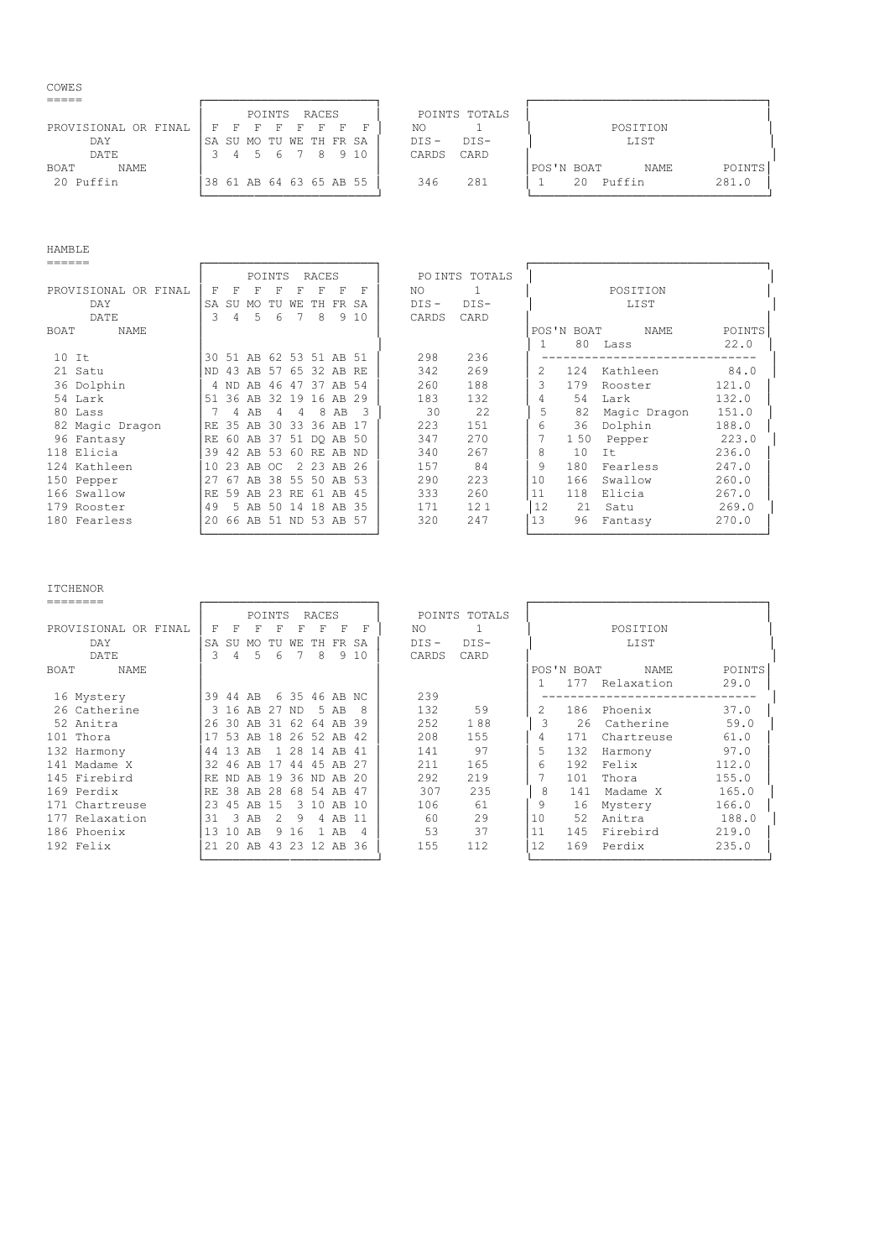# $\begin{array}{c} \text{COWES} \\ \text{---} \end{array}$

|                            | RACES<br>POINTS TOTALS<br>POINTS                                |  |
|----------------------------|-----------------------------------------------------------------|--|
| PROVISIONAL OR FINAL       | POSITION<br>ΝO<br>ਸ<br>F.<br>F.<br>- 63                         |  |
| DAY                        | $DTS -$<br>$DTS-$<br>LIST<br>SA SU MO TU WE TH FR SA            |  |
| DATE                       | 5 6 7 8 9 10<br>CARD<br>CARDS<br>$\overline{a}$                 |  |
| <b>NAME</b><br><b>BOAT</b> | POINTS<br>POS'N BOAT<br>NAME                                    |  |
| 20 Puffin                  | 281.0<br>281<br>Puffin<br>346<br>38 61 AB 64 63 65 AB 55<br>2.0 |  |
|                            |                                                                 |  |

HAMBLE

| ======               |     |       |                         |        |      |                   |       |      |         |                |    |            |              |        |
|----------------------|-----|-------|-------------------------|--------|------|-------------------|-------|------|---------|----------------|----|------------|--------------|--------|
|                      |     |       |                         | POINTS |      | RACES             |       |      |         | PO INTS TOTALS |    |            |              |        |
| PROVISIONAL OR FINAL | F   | F     | F                       | F      |      | F                 | F     | F    | NO.     |                |    |            | POSITION     |        |
| DAY                  | SA  | SU    | MO                      | TU     | WЕ   | TH.               | FR SA |      | $DIS -$ | $DIS-$         |    |            | LIST         |        |
| DATE                 | 3   | 4     | .5                      | 6      | 7    | -8                | 9     | 10   | CARDS   | CARD           |    |            |              |        |
| NAME<br>BOAT         |     |       |                         |        |      |                   |       |      |         |                |    | POS'N BOAT | NAME         | POINTS |
|                      |     |       |                         |        |      |                   |       |      |         |                |    | 80         | Lass         | 22.0   |
| $10$ It              |     |       | 30 51 AB 62 53 51 AB 51 |        |      |                   |       |      | 298     | 236            |    |            |              |        |
| 21 Satu              | ND. | 43    |                         |        |      | AB 57 65 32 AB RE |       |      | 342     | 269            |    | 124        | Kathleen     | 84.0   |
| 36 Dolphin           |     | 4 ND  | AB                      | -46    |      | 47 37 AB 54       |       |      | 260     | 188            | 3  | 179        | Rooster      | 121.0  |
| 54 Lark              |     | 51 36 | AB                      | 32     | 19   | 16                | AB 29 |      | 183     | 132            | 4  | 54         | Lark         | 132.0  |
| 80 Lass              |     | 4     | AB                      | 4      | 4    | 8                 | AB    |      | 30      | 22             | 5  | 82         | Magic Dragon | 151.0  |
| 82 Magic Dragon      | RF. | 35    | AB                      |        |      | 30 33 36 AB       |       |      | 223     | 151            | 6  | 36         | Dolphin      | 188.0  |
| 96 Fantasy           | RF. | 60    | AB 37 51 DQ AB 50       |        |      |                   |       |      | 347     | 270            |    | 150        | Pepper       | 223.0  |
| 118 Elicia           | 39  | 42    | AB.                     | 53     |      | 60 RE AB ND       |       |      | 340     | 267            | 8  | 10         | It           | 236.0  |
| 124 Kathleen         | 10  | 23    | AB OC                   |        |      | 2 23 AB 26        |       |      | 157     | 84             | 9  | 180        | Fearless     | 247.0  |
| 150 Pepper           | 27  | 67    | AB                      | -38    | 55   | 50                | AB 53 |      | 290     | 223            | 10 | 166        | Swallow      | 260.0  |
| 166 Swallow          | RE  | 59    | AB.                     | - 2.3  | RE.  | 61                | AB    | -4.5 | 333     | 260            | 11 | 118        | Elicia       | 267.0  |
| 179 Rooster          | 49  | 5.    | AB 50                   |        | - 14 | 18                | AB 35 |      | 171     | 121            | 12 | 21         | Satu         | 269.0  |
| 180 Fearless         | 20  |       | 66 AB 51 ND 53 AB 57    |        |      |                   |       |      | 320     | 247            | 13 | 96         | Fantasy      | 270.0  |
|                      |     |       |                         |        |      |                   |       |      |         |                |    |            |              |        |

## ITCHENOR

|                      |     |           |                   | POINTS |       | RACES         |        |     |         | POINTS TOTALS |    |            |            |        |
|----------------------|-----|-----------|-------------------|--------|-------|---------------|--------|-----|---------|---------------|----|------------|------------|--------|
| PROVISIONAL OR FINAL | F   |           | F                 | F      |       | F             | F      | F   | NO.     |               |    |            | POSITION   |        |
| DAY                  | SA  | <b>SU</b> | MO                |        | WF.   | TН            | FR.    | SA  | $DIS -$ | $DIS-$        |    |            | LIST       |        |
| DATE                 | 3   | 4         | 5                 | 6      |       | 8             | 9      | 10  | CARDS   | CARD          |    |            |            |        |
| BOAT<br>NAME         |     |           |                   |        |       |               |        |     |         |               |    | POS'N BOAT | NAME       | POINTS |
|                      |     |           |                   |        |       |               |        |     |         |               |    | 177        | Relaxation | 29.0   |
| 16 Mystery           | 39  | 44        | AB.               |        |       | 6 35 46 AB NC |        |     | 239     |               |    |            |            |        |
| 26 Catherine         |     | 3 16      | AB                | -27    | ND.   |               | 5 AB   | 8   | 132     | 59            |    | 186        | Phoenix    | 37.0   |
| 52 Anitra            | 26  | -30       | AB                | -31    | 62.   | 64            | AB     | 39  | 252     | 188           | 3  | 26         | Catherine  | 59.0   |
| 101 Thora            | -17 | 53        | AB                | 18     | 26    | 52.           | AB.    | -42 | 208     | 155           |    | 171        | Chartreuse | 61.0   |
| 132 Harmony          | 44  | 13        | AB                |        | 28    | 14            | AB     | -41 | 141     | 97            | 5  | 132        | Harmony    | 97.0   |
| 141 Madame X         | 32  | 46        | AB                |        | 44    | 4.5           | AB     | -27 | 211     | 165           |    | 192        | Felix      | 112.0  |
| 145 Firebird         | RF. | ND.       | AB                | 19     |       | 36 ND AB      |        | -20 | 292     | 219           |    | 101        | Thora      | 155.0  |
| 169 Perdix           | RE. | 38        | AB                | 2.8    | 68    | .54           | AB     | 47  | 307     | 235           | 8  | 141        | Madame X   | 165.0  |
| 171 Chartreuse       | 23  | 45        | AB                | 15     |       | 310           | AB     | 1 N | 106     | 61            | 9  | 16         | Mystery    | 166.0  |
| 177 Relaxation       | 31  | 3         | AB                | 2      | 9     | 4             | AB     |     | 60      | 29            | 10 | 52         | Anitra     | 188.0  |
| 186 Phoenix          | 13  | 10        | AB                |        | 9 1 6 |               | $1$ AB | 4   | 53      | 37            | 11 | 145        | Firebird   | 219.0  |
| 192 Felix            |     | 21 20     | AB 43 23 12 AB 36 |        |       |               |        |     | 155     | 112           | 12 | 169        | Perdix     | 235.0  |
|                      |     |           |                   |        |       |               |        |     |         |               |    |            |            |        |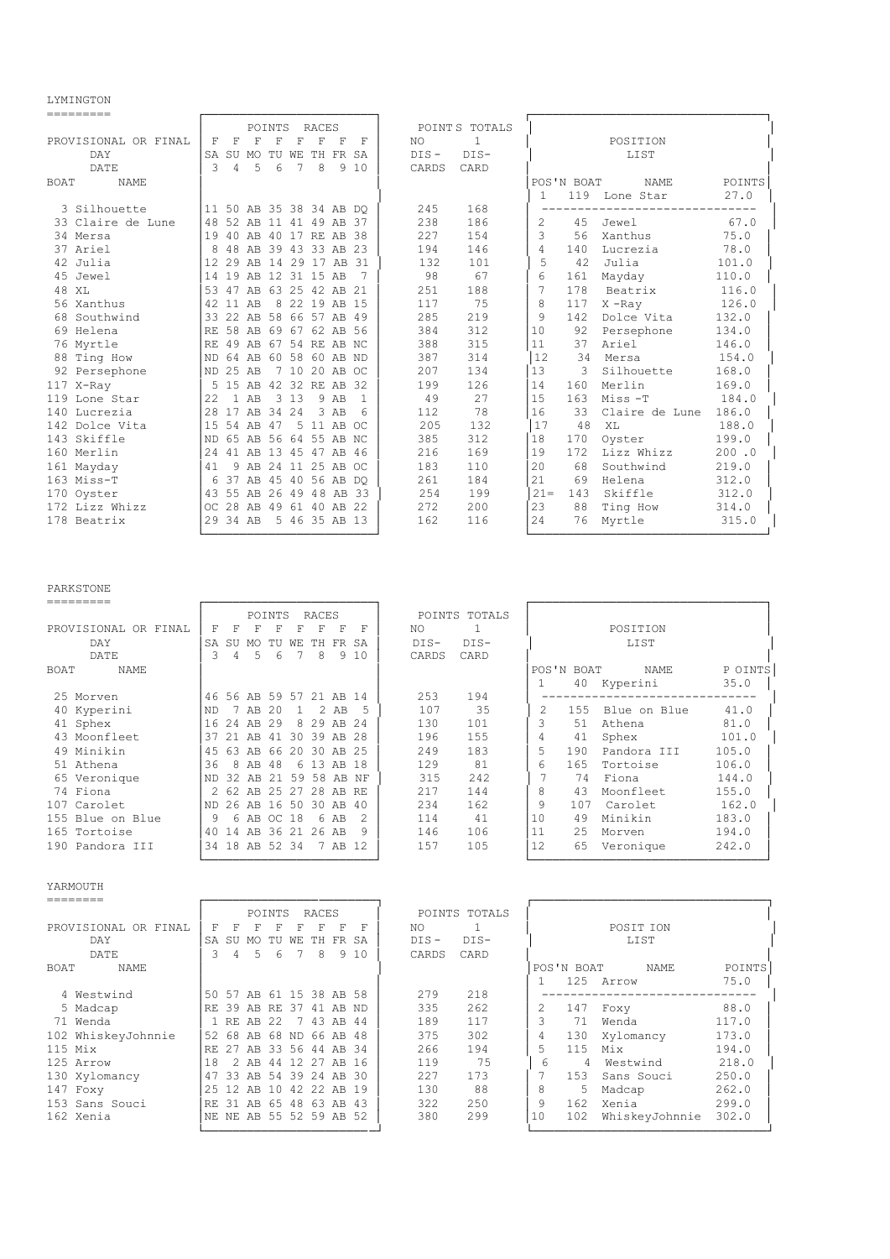LYMINGTON<br>=========

| ---------            |               |                |                         |        |    |               |          |                         |         |               |               |            |                |        |
|----------------------|---------------|----------------|-------------------------|--------|----|---------------|----------|-------------------------|---------|---------------|---------------|------------|----------------|--------|
|                      |               |                |                         | POINTS |    | RACES         |          |                         |         | POINTS TOTALS |               |            |                |        |
| PROVISIONAL OR FINAL | F             | F              | F                       | F      | F  | F             | F        | F                       | NO.     | $\mathbf{1}$  |               |            | POSITION       |        |
| DAY                  | SA            |                | SU MO                   | TU WE  |    |               | TH FR SA |                         | $DIS -$ | $DIS-$        |               |            | LIST           |        |
| DATE                 | $\mathcal{L}$ | $\overline{4}$ | 5                       | 6      | 7  | 8             |          | 9,10                    | CARDS   | CARD          |               |            |                |        |
| <b>BOAT</b><br>NAME. |               |                |                         |        |    |               |          |                         |         |               |               | POS'N BOAT | <b>NAME</b>    | POINTS |
|                      |               |                |                         |        |    |               |          |                         |         |               | 1             | 119        | Lone Star      | 27.0   |
| 3 Silhouette         |               |                |                         |        |    |               |          | 11 50 AB 35 38 34 AB DO | 245     | 168           |               |            |                |        |
| 33 Claire de Lune    | 48            |                | 52 AB 11 41 49 AB 37    |        |    |               |          |                         | 238     | 186           | $\mathcal{L}$ | 45         | Jewel          | 67.0   |
| 34 Mersa             | 19            |                | 40 AB 40 17 RE AB 38    |        |    |               |          |                         | 227     | 154           | 3             | 56         | Xanthus        | 75.0   |
| 37 Ariel             | 8             |                | 48 AB 39 43 33 AB 23    |        |    |               |          |                         | 194     | 146           | 4             | 140        | Lucrezia       | 78.0   |
| 42 Julia             |               | 12 29 AB       |                         | 14     |    | 29 17         | AB 31    |                         | 132     | 101           | 5             | 42         | Julia          | 101.0  |
| 45 Jewel             | 14            |                | 19 AB 12 31 15 AB       |        |    |               |          | 7                       | 98      | 67            | 6             | 161        | Mayday         | 110.0  |
| 48 XL                |               |                | 53 47 AB 63 25 42 AB 21 |        |    |               |          |                         | 251     | 188           | 7             | 178        | Beatrix        | 116.0  |
| 56 Xanthus           | 42            | 11 AB          |                         | 8      |    | 22 19 AB 15   |          |                         | 117     | 75            | 8             | 117        | $X$ -Ray       | 126.0  |
| 68 Southwind         | 33            |                | 22 AB 58 66 57 AB 49    |        |    |               |          |                         | 285     | 219           | 9             | 142        | Dolce Vita     | 132.0  |
| 69 Helena            |               |                | RE 58 AB 69 67 62 AB 56 |        |    |               |          |                         | 384     | 312           | 10            | 92         | Persephone     | 134.0  |
| 76 Myrtle            | I RE.         |                | 49 AB 67 54 RE AB NC    |        |    |               |          |                         | 388     | 315           | 11            | 37         | Ariel          | 146.0  |
| 88 Ting How          | ND            |                | 64 AB 60 58 60 AB ND    |        |    |               |          |                         | 387     | 314           | 12            | 34         | Mersa          | 154.0  |
| 92 Persephone        | ND 25 AB      |                |                         |        |    | 7 10 20 AB OC |          |                         | 207     | 134           | 13            | 3          | Silhouette     | 168.0  |
| 117 X-Ray            |               |                | 5 15 AB 42 32 RE AB 32  |        |    |               |          |                         | 199     | 126           | 14            | 160        | Merlin         | 169.0  |
| 119 Lone Star        | 2.2.          |                | $1$ AB                  | 3      | 13 |               | 9 AB     | $\mathbf{1}$            | 49      | 27            | 1.5           | 163        | Miss-T         | 184.0  |
| 140 Lucrezia         | 28            |                | 17 AB 34 24             |        |    |               | 3 AB     | $\epsilon$              | 112     | 78            | 16            | 33         | Claire de Lune | 186.0  |
| 142 Dolce Vita       | 1.5           |                | 54 AB 47                |        | .5 | 11 AB OC      |          |                         | 205     | 132           | 17            | 48         | XT.            | 188.0  |
| 143 Skiffle          | <b>ND</b>     |                | 65 AB 56                |        |    | 64 55 AB NC   |          |                         | 385     | 312           | 18            | 170        | Oyster         | 199.0  |
| 160 Merlin           | 24            |                | 41 AB 13 45 47 AB 46    |        |    |               |          |                         | 216     | 169           | 19            | 172        | Lizz Whizz     | 200.0  |
| 161 Mayday           | 41            |                | 9 AB 24 11 25 AB OC     |        |    |               |          |                         | 183     | 110           | 20            | 68         | Southwind      | 219.0  |
| 163 Miss-T           |               |                | 6 37 AB 45 40 56 AB DO  |        |    |               |          |                         | 261     | 184           | 2.1           | 69         | Helena         | 312.0  |
| 170 Oyster           |               |                | 43 55 AB 26             |        |    |               |          | 49 48 AB 33             | 254     | 199           | $21 =$        | 143        | Skiffle        | 312.0  |
| 172 Lizz Whizz       |               |                | OC 28 AB 49 61 40 AB 22 |        |    |               |          |                         | 272     | 200           | 23            | 88         | Ting How       | 314.0  |
| 178 Beatrix          |               | 29 34 AB       |                         |        |    | 5 46 35 AB 13 |          |                         | 162     | 116           | 24            | 76         | Myrtle         | 315.0  |
|                      |               |                |                         |        |    |               |          |                         |         |               |               |            |                |        |

## PARKSTONE

|                      |           |           |       | POINTS                  |     | RACES |         |     |        | POINTS TOTALS |    |            |              |         |
|----------------------|-----------|-----------|-------|-------------------------|-----|-------|---------|-----|--------|---------------|----|------------|--------------|---------|
| PROVISIONAL OR FINAL | F         |           | F     | F                       |     |       | F       | F   | NO.    |               |    |            | POSITION     |         |
| DAY                  | <b>SA</b> | <b>SU</b> | MO    |                         | WF. | TH.   | FR.     | SA  | $DIS-$ | $DIS-$        |    |            | LIST         |         |
| DATE                 | 3         | 4         | 5     | 6                       |     | 8     | 9       | 10  | CARDS  | CARD          |    |            |              |         |
| BOAT<br>NAME         |           |           |       |                         |     |       |         |     |        |               |    | POS'N BOAT | NAME         | P OINTS |
|                      |           |           |       |                         |     |       |         |     |        |               |    |            | 40 Kyperini  | 35.0    |
| 25 Morven            |           |           |       | 46 56 AB 59 57 21 AB 14 |     |       |         |     | 253    | 194           |    |            |              |         |
| 40 Kyperini          | ND        |           | AB    | 20                      |     |       | 2 AB    |     | 107    | 35            |    | 155        | Blue on Blue | 41.0    |
| 41 Sphex             | 16        | 24        | AB    | 29                      | 8   | 29    | AB 24   |     | 130    | 101           | 3  | 51         | Athena       | 81.0    |
| 43 Moonfleet         | 37        | 21        | AB    | -41                     | 30  | 39    | AB.     | -28 | 196    | 155           |    | 41         | Sphex        | 101.0   |
| 49 Minikin           | 45        | 63        | AR    | 66                      | 20  | 30    | AB      | -25 | 249    | 183           |    | 190        | Pandora III  | 105.0   |
| 51 Athena            | 36        | 8         | AB    | 48                      |     | 6 13  | AB      | -18 | 129    | 81            | 6  | 165        | Tortoise     | 106.0   |
| 65 Veronique         | ND        | 32        | AB    | 2.1                     | 59  | 58    | AB.     | NF  | 315    | 2.42          |    | 74         | Fiona        | 144.0   |
| 74 Fiona             |           | 262       | AB    | 2.5                     | 27  | 2.8   | AB RE   |     | 217    | 144           | 8  | 43         | Moonfleet    | 155.0   |
| 107 Carolet          | I ND.     | 26        | AB    | 16                      | 50  | 30    | AB      | 40  | 234    | 162           | 9  | 107        | Carolet      | 162.0   |
| 155 Blue on Blue     | 9         | 6         | AB OC |                         | 18  |       | 6 AB    |     | 114    | 41            | 10 | 49         | Minikin      | 183.0   |
| 165 Tortoise         | 40 14     |           | AB.   | 36 21                   |     |       | 26 AB   | q   | 146    | 106           | 11 | 2.5        | Morven       | 194.0   |
| 190 Pandora III      |           |           |       | 34 18 AB 52 34          |     |       | 7 AB 12 |     | 157    | 105           | 12 | 65         | Veronique    | 242.0   |
|                      |           |           |       |                         |     |       |         |     |        |               |    |            |              |         |

#### YARMOUTH

|                      |     |               |       | POINTS                  |    | RACES    |          |     |         | POINTS TOTALS |    |            |                |        |
|----------------------|-----|---------------|-------|-------------------------|----|----------|----------|-----|---------|---------------|----|------------|----------------|--------|
| PROVISIONAL OR FINAL | F   | F             | F     | F                       |    | F        | F        | F   | NO.     |               |    |            | POSTT TON      |        |
| DAY                  | SA  | -SU           | MO.   | TU                      | WЕ | TH.      | FR SA    |     | $DIS -$ | $DIS-$        |    |            | LIST           |        |
| DATE                 | २   | 4             | 5.    | 6                       |    | 8        | 9        | 10  | CARDS   | CARD          |    |            |                |        |
| BOAT<br>NAME         |     |               |       |                         |    |          |          |     |         |               |    | POS'N BOAT | <b>NAME</b>    | POINTS |
|                      |     |               |       |                         |    |          |          |     |         |               |    | 125        | Arrow          | 75.0   |
| 4 Westwind           | 50  | 57            |       | AB 61 15 38 AB 58       |    |          |          |     | 279     | 218           |    |            |                |        |
| 5 Madcap             | RF. | 39            |       | AB RE 37                |    |          | 41 AB ND |     | 335     | 2.62          |    | 147        | Foxy           | 88.0   |
| 71 Wenda             |     | 1 RF.         | AB 22 |                         |    | 7 43     | AB       | 44  | 189     | 117           |    | 71         | Wenda          | 117.0  |
| 102 WhiskeyJohnnie   | 52  | 68            |       | AB 68 ND 66 AB 48       |    |          |          |     | 375     | 302           | 4  | 130        | Xylomancy      | 173.0  |
| $115$ Mix            | RF. | -27           |       | AB 33 56 44 AB 34       |    |          |          |     | 266     | 194           |    | 115        | Mix            | 194.0  |
| 125 Arrow            | 18  | $\mathcal{P}$ | AB 44 |                         |    | 12 27 AB |          | -16 | 119     | 75            | 6  | 4          | Westwind       | 218.0  |
| 130 Xylomancy        | 47  | 33            |       | AB 54 39 24 AB 30       |    |          |          |     | 227     | 173           |    | 153        | Sans Souci     | 250.0  |
| 147 Foxy             | 25  | - 12          | AB    | 1 O                     | 42 | -22      | AB       | 19  | 130     | 88            | 8  | 5          | Madcap         | 262.0  |
| 153 Sans Souci       | RF. | .31           | AB    | 65                      | 48 | 63       | AB       | -43 | 322     | 250           | 9  | 162        | Xenia          | 299.0  |
| 162 Xenia            |     |               |       | NE NE AB 55 52 59 AB 52 |    |          |          |     | 380     | 299           | 10 | 102        | WhiskeyJohnnie | 302.0  |
|                      |     |               |       |                         |    |          |          |     |         |               |    |            |                |        |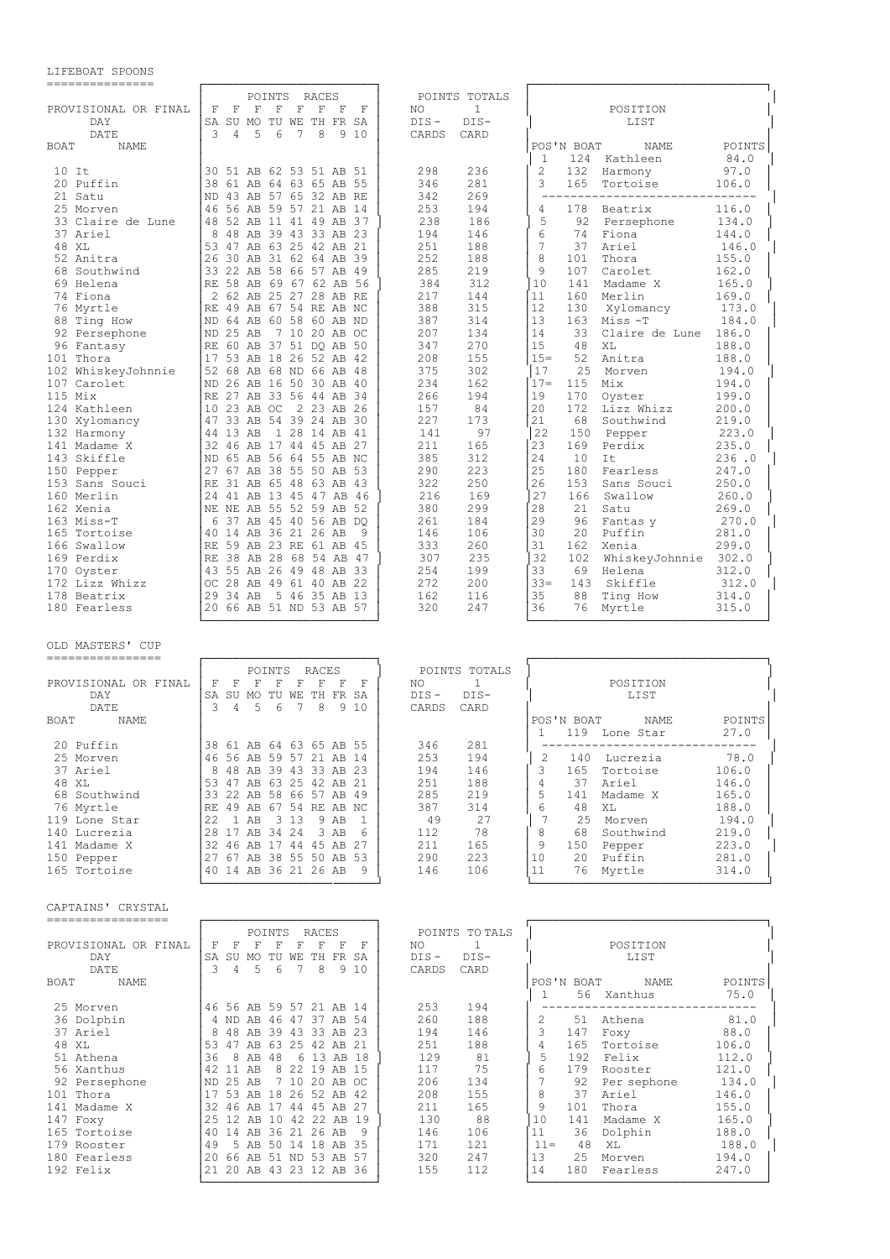## LIFEBOAT SPOONS

| ---------------                                |                                                                                                                                                                                                                           |                                                                         |                                                                                                         |
|------------------------------------------------|---------------------------------------------------------------------------------------------------------------------------------------------------------------------------------------------------------------------------|-------------------------------------------------------------------------|---------------------------------------------------------------------------------------------------------|
| PROVISIONAL OR FINAL<br>DAY                    | POINTS<br>RACES<br>$\mathbf{F}$<br>$\mathbb{F}$<br>F<br>F<br>F<br>F<br>$\mathbb F$<br>$-$ F<br>SA SU MO TU WE TH FR SA                                                                                                    | POINTS TOTALS<br>NO<br>1<br>$DIS -$<br>$DIS-$                           | POSITION<br>LIST                                                                                        |
| DATE<br>BOAT<br>NAME                           | 3<br>6<br>8<br>4<br>5<br>7<br>9 10                                                                                                                                                                                        | CARDS<br>CARD                                                           | POS'N BOAT<br>NAME<br>POINTS                                                                            |
| $10$ It<br>20 Puffin                           | 30 51 AB 62 53 51 AB 51<br>38 61 AB 64 63 65 AB 55                                                                                                                                                                        | 298<br>236<br>281<br>346                                                | 1<br>124 Kathleen<br>84.0<br>$\overline{2}$<br>132<br>97.0<br>Harmony<br>3<br>165<br>Tortoise<br>106.0  |
| 21 Satu<br>25 Morven<br>33 Claire de Lune      | ND 43 AB 57 65 32 AB RE<br>46 56 AB 59 57 21 AB 14<br>48 52 AB 11 41 49 AB 37                                                                                                                                             | 342<br>269<br>253<br>194<br>238<br>186                                  | _______________________________<br>178<br>4<br>Beatrix<br>116.0<br>5<br>-92<br>Persephone<br>134.0      |
| 37 Ariel<br>48 XL<br>52 Anitra                 | 8<br>48 AB 39 43 33 AB 23<br>53 47 AB 63 25 42 AB 21<br>26 30 AB 31 62 64 AB 39                                                                                                                                           | 194<br>146<br>251<br>188<br>252<br>188                                  | 6<br>74<br>Fiona<br>144.0<br>7<br>37<br>Ariel<br>146.0<br>8<br>Thora<br>155.0<br>101                    |
| 68 Southwind<br>69 Helena                      | 33 22 AB 58 66 57 AB 49<br>RE 58 AB 69 67 62 AB 56                                                                                                                                                                        | 285<br>219<br>384<br>312                                                | 9<br>107<br>Carolet<br>162.0<br>10<br>141 Madame X<br>165.0                                             |
| 74 Fiona<br>76 Myrtle<br>88 Ting How           | 2 62 AB 25 27 28 AB RE<br>RE 49 AB 67 54 RE AB NC<br>ND 64 AB 60 58 60 AB ND                                                                                                                                              | 217<br>144<br>388<br>315<br>387<br>314                                  | 11<br>160<br>Merlin<br>169.0<br>12<br>130<br>Xylomancy<br>173.0<br>13<br>163<br>Miss -T<br>184.0        |
| 92 Persephone<br>96 Fantasy                    | ND 25 AB<br>7 10 20 AB OC<br>RE 60 AB 37 51 DQ AB 50                                                                                                                                                                      | 207<br>134<br>347<br>270                                                | 33<br>14<br>Claire de Lune<br>186.0<br>15<br>48<br>XL<br>188.0                                          |
| 101 Thora<br>102 WhiskeyJohnnie<br>107 Carolet | 17 53 AB 18 26 52 AB 42<br>52 68 AB 68 ND 66 AB 48<br>ND 26 AB 16 50 30 AB 40                                                                                                                                             | 208<br>155<br>375<br>302<br>234<br>162                                  | $15 =$<br>52<br>188.0<br>Anitra<br> 17<br>25<br>Morven<br>194.0<br>$17 =$<br>115<br>194.0<br>Mix        |
| $115$ Mix<br>124 Kathleen                      | RE 27 AB 33 56 44 AB 34<br>110 23 AB OC<br>2 23 AB 26<br>47 33 AB 54 39 24 AB 30                                                                                                                                          | 266<br>194<br>157<br>84<br>227<br>173                                   | 19<br>170<br>199.0<br>Oyster<br>20<br>172<br>Lizz Whizz<br>200.0<br>21<br>68<br>Southwind<br>219.0      |
| 130 Xylomancy<br>132 Harmony<br>141 Madame X   | 44 13 AB<br>1 28 14 AB 41<br>32 46 AB 17 44 45 AB 27                                                                                                                                                                      | 141<br>97<br>211<br>165                                                 | 22<br>150<br>223.0<br>Pepper<br>23<br>169<br>235.0<br>Perdix                                            |
| 143 Skiffle<br>150 Pepper<br>153 Sans Souci    | ND 65 AB 56 64 55 AB NC<br>27 67 AB 38 55 50 AB 53<br>RE 31 AB 65 48 63 AB 43                                                                                                                                             | 385<br>312<br>290<br>223<br>322<br>250                                  | 24<br>10<br>It<br>236.0<br>25<br>180<br>247.0<br>Fearless<br>26<br>153<br>Sans Souci<br>250.0           |
| 160 Merlin<br>162 Xenia                        | 24 41 AB 13 45 47 AB 46<br>NE NE AB 55 52 59 AB 52                                                                                                                                                                        | 216<br>169<br>299<br>380                                                | 27<br>166<br>Swallow<br>260.0<br>28<br>21<br>269.0<br>Satu                                              |
| 163 Miss-T<br>165 Tortoise<br>166 Swallow      | l 6<br>37 AB 45 40 56 AB DO<br> 40 14 AB 36 21 26 AB<br>9<br>RE 59 AB 23 RE 61 AB 45                                                                                                                                      | 261<br>184<br>146<br>106<br>333<br>260                                  | 29<br>96<br>Fantas y<br>270.0<br>30<br>20<br>Puffin<br>281.0<br>31<br>162<br>Xenia<br>299.0             |
| 169 Perdix<br>170 Oyster<br>172 Lizz Whizz     | RE 38 AB 28 68 54 AB 47<br>43 55 AB 26 49 48 AB 33<br>OC 28 AB 49 61 40 AB 22                                                                                                                                             | 235<br>307<br>254<br>199<br>272<br>200                                  | 32<br>102<br>WhiskeyJohnnie 302.0<br>33<br>69 Helena<br>312.0<br>$33 =$<br>143<br>Skiffle<br>312.0      |
| 178 Beatrix<br>180 Fearless                    | 29 34 AB<br>5 46 35 AB 13<br>20 66 AB 51 ND 53 AB 57                                                                                                                                                                      | 162<br>116<br>320<br>247                                                | 35<br>88<br>Ting How<br>314.0<br>36<br>76 Myrtle<br>315.0                                               |
| OLD MASTERS' CUP<br>================           |                                                                                                                                                                                                                           |                                                                         |                                                                                                         |
| PROVISIONAL OR FINAL<br>DAY<br>DATE            | POINTS<br><b>RACES</b><br>$\mathbb F$<br>$\mathbb F$<br>$\mathbb F$<br>$\mathbf F$<br>$\mathbf{F}$<br>F<br>– F<br>$\mathbb F$<br>SA SU MO TU WE TH FR SA<br>5<br>6<br>$7\phantom{.0}$<br>3<br>$\overline{4}$<br>8<br>9 10 | POINTS TOTALS<br>NO<br>1<br>$DIS -$<br>$DIS-$<br>CARDS<br>CARD          | POSITION<br>LIST                                                                                        |
| BOAT<br>NAME                                   |                                                                                                                                                                                                                           | 346<br>281                                                              | POS'N BOAT<br>POINTS<br>NAME<br>27.0<br>1<br>119 Lone Star                                              |
| 20 Puffin<br>25 Morven<br>37 Ariel             | 38 61 AB 64 63 65 AB 55<br>46 56 AB 59 57 21 AB 14<br>8 48 AB 39 43 33 AB 23                                                                                                                                              | 253<br>194<br>194<br>146                                                | 2<br>140 Lucrezia<br>78.0<br>3<br>165 Tortoise<br>106.0                                                 |
| 48 XL<br>68 Southwind<br>76 Myrtle             | 53 47 AB 63 25 42 AB 21<br>33 22 AB 58 66 57 AB 49<br>RE 49 AB 67 54 RE AB NC                                                                                                                                             | 251<br>188<br>285<br>219<br>387<br>314                                  | 4<br>37 Ariel<br>146.0<br>-5<br>141 Madame X<br>165.0<br>6<br>48 XL<br>188.0                            |
| 119 Lone Star<br>140 Lucrezia                  | 22 1 AB 3 13 9 AB 1<br>28 17 AB 34 24 3 AB 6<br>32 46 AB 17 44 45 AB 27                                                                                                                                                   | 49<br>27<br>112<br>78<br>211<br>165                                     | 7<br>25 Morven<br>194.0<br>8<br>68 Southwind<br>219.0<br>- 9                                            |
| 141 Madame X<br>150 Pepper<br>165 Tortoise     | 27 67 AB 38 55 50 AB 53<br>40 14 AB 36 21 26 AB 9                                                                                                                                                                         | 290<br>223<br>146<br>106                                                | 150 Pepper<br>223.0<br>10<br>20 Puffin<br>281.0<br>11<br>76 Myrtle<br>314.0                             |
| CAPTAINS' CRYSTAL<br>------------------        |                                                                                                                                                                                                                           |                                                                         |                                                                                                         |
| PROVISIONAL OR FINAL<br>DAY<br>DATE            | POINTS RACES<br>F F F F F F F F<br>SA SU MO TU WE TH FR SA<br>3 4 5 6 7 8 9 10                                                                                                                                            | POINTS TO TALS<br>$\mathbf{1}$<br>NO<br>$DIS-$<br>$DIS -$<br>CARDS CARD | POSITION<br>LIST                                                                                        |
| BOAT NAME<br>25 Morven                         | 46 56 AB 59 57 21 AB 14                                                                                                                                                                                                   | 253                                                                     | POS'N BOAT<br><b>POINTS</b><br>NAME<br>$\mathbf{1}$<br>56 Xanthus<br>75.0<br>-------------------------- |
| 36 Dolphin<br>37 Ariel<br>48 XL                | 4 ND AB 46 47 37 AB 54<br>8 48 AB 39 43 33 AB 23<br>53 47 AB 63 25 42 AB 21                                                                                                                                               | 194<br>260<br>188<br>194<br>146<br>251<br>188                           | 2<br>51 Athena<br>81.0<br>3<br>147 Foxy<br>88.0<br>$\overline{4}$<br>165 Tortoise<br>106.0              |

|                      |     |        |                         | POINTS      |       | RACES       |          |       |         | POINTS TO TALS |        |            |             |        |
|----------------------|-----|--------|-------------------------|-------------|-------|-------------|----------|-------|---------|----------------|--------|------------|-------------|--------|
| PROVISIONAL OR FINAL | F   | F      | F                       | F           |       | F           | F        | F     | NO.     |                |        |            | POSITION    |        |
| DAY                  | SA  | SU     | MO                      | TU          | WЕ    | TH.         | FR.      | SA    | $DIS -$ | DIS-           |        |            | LIST        |        |
| DATE                 | २   | 4      | 5                       | 6           |       | 8           |          | 9 1 0 | CARDS   | CARD           |        |            |             |        |
| BOAT<br>NAME         |     |        |                         |             |       |             |          |       |         |                |        | POS'N BOAT | NAME        | POINTS |
|                      |     |        |                         |             |       |             |          |       |         |                | -1.    | 56         | Xanthus     | 75.0   |
| 25 Morven            |     |        | 46 56 AB 59 57 21 AB 14 |             |       |             |          |       | 253     | 194            |        |            |             |        |
| 36 Dolphin           |     | 4 ND   | AB                      | 46          | 47    | 37          | AB       | .54   | 260     | 188            |        | .51        | Athena      | 81.0   |
| 37 Ariel             | 8   | 48.    | AB                      | 39          | 43    |             | 33 AB 23 |       | 194     | 146            | 3      | 147        | Foxy        | 88.0   |
| 48 XL                | 53  | 47     | AB                      | 63          |       | 25 42 AB 21 |          |       | 251     | 188            |        | 165        | Tortoise    | 106.0  |
| 51 Athena            | 36  | 8      | AB                      | 48          |       | 6 13 AB 18  |          |       | 129     | 81             | 5      | 192        | Felix       | 112.0  |
| 56 Xanthus           |     | 42 11  | AB                      |             | 8 2 2 | 19          | AB 15    |       | 117     | 75             | 6      | 179        | Rooster     | 121.0  |
| 92 Persephone        | ND. | 2.5    | AB                      |             | 7 10  | 20          | AB       | -OC.  | 206     | 134            |        | 92         | Per sephone | 134.0  |
| 101 Thora            | 17  | 53 AB  |                         | 18          |       | 26 52 AB    |          | -42   | 208     | 155            | 8      | 37         | Ariel       | 146.0  |
| 141 Madame X         | 32  | 46     | AB                      | 17          | 44    | 45          | AB.      | -27   | 211     | 165            | 9      | 101        | Thora       | 155.0  |
| 147 Foxy             |     | 2.5 12 | AB                      | 10          | 42    |             | 22 AB    | 19    | 130     | 88             | 10     | 141        | Madame X    | 165.0  |
| 165 Tortoise         | 40  | 14     | AB                      | 36 21 26 AB |       |             |          |       | 146     | 106            | 11     | 36         | Dolphin     | 188.0  |
| 179 Rooster          | 49  |        | 5 AB                    | 50          | - 14  | 18          | AB       | -35   | 171     | 121            | $11 =$ | 48         | XL          | 188.0  |
| 180 Fearless         | 20  | 66     | AB.                     | .51         |       | ND 53 AB    |          | -57   | 320     | 247            | 13     | 25         | Morven      | 194.0  |
| 192 Felix            |     | 21 20  | AB 43 23 12 AB          |             |       |             |          | -36   | 155     | 112            | 14     | 180        | Fearless    | 247.0  |

└────────────────────────┘ └─────────────────────────────────┘